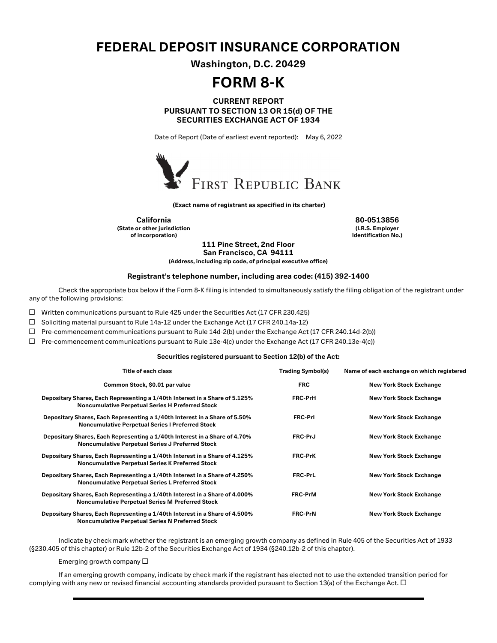## FEDERAL DEPOSIT INSURANCE CORPORATION

Washington, D.C. 20429

# FORM 8-K

### CURRENT REPORT PURSUANT TO SECTION 13 OR 15(d) OF THE SECURITIES EXCHANGE ACT OF 1934

Date of Report (Date of earliest event reported): May 6, 2022



(Exact name of registrant as specified in its charter)

California 80-0513856 (State or other jurisdiction of incorporation)

(I.R.S. Employer Identification No.)

111 Pine Street, 2nd Floor San Francisco, CA 94111

(Address, including zip code, of principal executive office)

#### Registrant's telephone number, including area code: (415) 392-1400

Check the appropriate box below if the Form 8-K filing is intended to simultaneously satisfy the filing obligation of the registrant under any of the following provisions:

 $\Box$  Written communications pursuant to Rule 425 under the Securities Act (17 CFR 230.425)

□ Soliciting material pursuant to Rule 14a-12 under the Exchange Act (17 CFR 240.14a-12)

 $\Box$  Pre-commencement communications pursuant to Rule 14d-2(b) under the Exchange Act (17 CFR 240.14d-2(b))

 $\Box$  Pre-commencement communications pursuant to Rule 13e-4(c) under the Exchange Act (17 CFR 240.13e-4(c))

#### Securities registered pursuant to Section 12(b) of the Act:

| Title of each class                                                                                                                    | <b>Trading Symbol(s)</b> | Name of each exchange on which registered |
|----------------------------------------------------------------------------------------------------------------------------------------|--------------------------|-------------------------------------------|
| Common Stock, \$0.01 par value                                                                                                         | <b>FRC</b>               | <b>New York Stock Exchange</b>            |
| Depositary Shares, Each Representing a 1/40th Interest in a Share of 5.125%<br><b>Noncumulative Perpetual Series H Preferred Stock</b> | <b>FRC-PrH</b>           | <b>New York Stock Exchange</b>            |
| Depositary Shares, Each Representing a 1/40th Interest in a Share of 5.50%<br><b>Noncumulative Perpetual Series I Preferred Stock</b>  | <b>FRC-PrI</b>           | <b>New York Stock Exchange</b>            |
| Depositary Shares, Each Representing a 1/40th Interest in a Share of 4.70%<br><b>Noncumulative Perpetual Series J Preferred Stock</b>  | <b>FRC-PrJ</b>           | <b>New York Stock Exchange</b>            |
| Depositary Shares, Each Representing a 1/40th Interest in a Share of 4.125%<br><b>Noncumulative Perpetual Series K Preferred Stock</b> | <b>FRC-PrK</b>           | <b>New York Stock Exchange</b>            |
| Depositary Shares, Each Representing a 1/40th Interest in a Share of 4.250%<br><b>Noncumulative Perpetual Series L Preferred Stock</b> | <b>FRC-PrL</b>           | <b>New York Stock Exchange</b>            |
| Depositary Shares, Each Representing a 1/40th Interest in a Share of 4.000%<br><b>Noncumulative Perpetual Series M Preferred Stock</b> | <b>FRC-PrM</b>           | <b>New York Stock Exchange</b>            |
| Depositary Shares, Each Representing a 1/40th Interest in a Share of 4.500%<br><b>Noncumulative Perpetual Series N Preferred Stock</b> | <b>FRC-PrN</b>           | <b>New York Stock Exchange</b>            |

Indicate by check mark whether the registrant is an emerging growth company as defined in Rule 405 of the Securities Act of 1933 (§230.405 of this chapter) or Rule 12b-2 of the Securities Exchange Act of 1934 (§240.12b-2 of this chapter).

Emerging growth company  $\square$ 

If an emerging growth company, indicate by check mark if the registrant has elected not to use the extended transition period for complying with any new or revised financial accounting standards provided pursuant to Section 13(a) of the Exchange Act.  $\Box$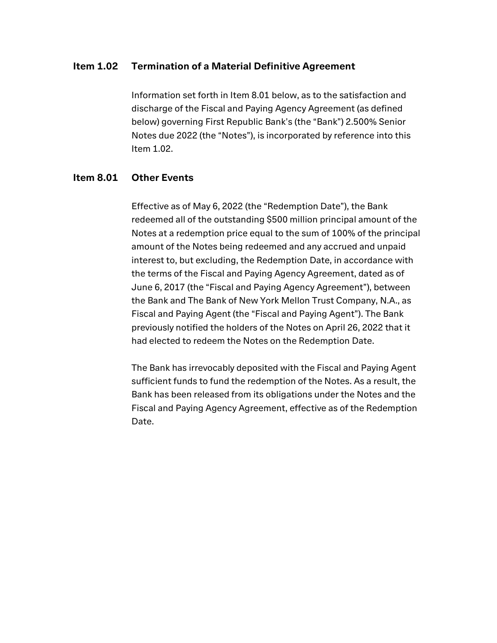### Item 1.02 Termination of a Material Definitive Agreement

Information set forth in Item 8.01 below, as to the satisfaction and discharge of the Fiscal and Paying Agency Agreement (as defined below) governing First Republic Bank's (the "Bank") 2.500% Senior Notes due 2022 (the "Notes"), is incorporated by reference into this Item 1.02.

## Item 8.01 Other Events

Effective as of May 6, 2022 (the "Redemption Date"), the Bank redeemed all of the outstanding \$500 million principal amount of the Notes at a redemption price equal to the sum of 100% of the principal amount of the Notes being redeemed and any accrued and unpaid interest to, but excluding, the Redemption Date, in accordance with the terms of the Fiscal and Paying Agency Agreement, dated as of June 6, 2017 (the "Fiscal and Paying Agency Agreement"), between the Bank and The Bank of New York Mellon Trust Company, N.A., as Fiscal and Paying Agent (the "Fiscal and Paying Agent"). The Bank previously notified the holders of the Notes on April 26, 2022 that it had elected to redeem the Notes on the Redemption Date.

The Bank has irrevocably deposited with the Fiscal and Paying Agent sufficient funds to fund the redemption of the Notes. As a result, the Bank has been released from its obligations under the Notes and the Fiscal and Paying Agency Agreement, effective as of the Redemption Date.